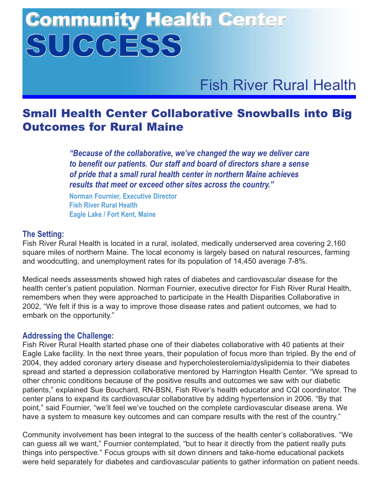# **Community Health Center** SUCCESS

Fish River Rural Health

## Small Health Center Collaborative Snowballs into Big Outcomes for Rural Maine

*"Because of the collaborative, we've changed the way we deliver care to benefit our patients. Our staff and board of directors share a sense of pride that a small rural health center in northern Maine achieves results that meet or exceed other sites across the country."*

**Norman Fournier, Executive Director Fish River Rural Health Eagle Lake / Fort Kent, Maine**

### **The Setting:**

Fish River Rural Health is located in a rural, isolated, medically underserved area covering 2,160 square miles of northern Maine. The local economy is largely based on natural resources, farming and woodcutting, and unemployment rates for its population of 14,450 average 7-8%.

Medical needs assessments showed high rates of diabetes and cardiovascular disease for the health center's patient population. Norman Fournier, executive director for Fish River Rural Health, remembers when they were approached to participate in the Health Disparities Collaborative in 2002, "We felt if this is a way to improve those disease rates and patient outcomes, we had to embark on the opportunity."

#### **Addressing the Challenge:**

Fish River Rural Health started phase one of their diabetes collaborative with 40 patients at their Eagle Lake facility. In the next three years, their population of focus more than tripled. By the end of 2004, they added coronary artery disease and hypercholesterolemia/dyslipidemia to their diabetes spread and started a depression collaborative mentored by Harrington Health Center. "We spread to other chronic conditions because of the positive results and outcomes we saw with our diabetic patients," explained Sue Bouchard, RN-BSN, Fish River's health educator and CQI coordinator. The center plans to expand its cardiovascular collaborative by adding hypertension in 2006. "By that point," said Fournier, "we'll feel we've touched on the complete cardiovascular disease arena. We have a system to measure key outcomes and can compare results with the rest of the country."

Community involvement has been integral to the success of the health center's collaboratives. "We can guess all we want," Fournier contemplated, "but to hear it directly from the patient really puts things into perspective." Focus groups with sit down dinners and take-home educational packets were held separately for diabetes and cardiovascular patients to gather information on patient needs.